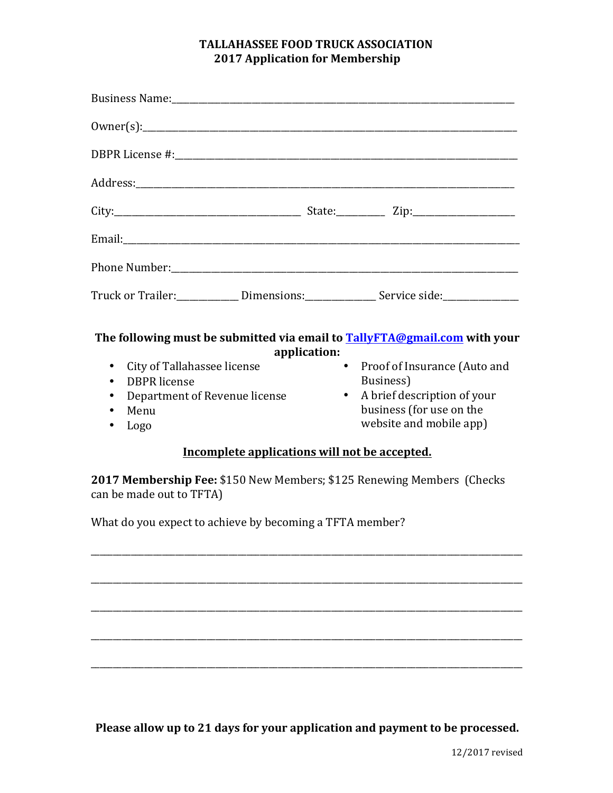## **TALLAHASSEE FOOD TRUCK ASSOCIATION 2017 Application for Membership**

| Truck or Trailer: ______________ Dimensions: ________________ Service side: _________________                                                                                                                                                                                                                                                                                            |
|------------------------------------------------------------------------------------------------------------------------------------------------------------------------------------------------------------------------------------------------------------------------------------------------------------------------------------------------------------------------------------------|
| The following must be submitted via email to <b>TallyFTA@gmail.com</b> with your<br>application:<br>$\bullet$<br>Proof of Insurance (Auto and<br>Business)<br>A brief description of your<br>$\bullet$<br>business (for use on the<br>website and mobile app)<br>Incomplete applications will not be accepted.<br>2017 Membership Fee: \$150 New Members; \$125 Renewing Members (Checks |
| What do you expect to achieve by becoming a TFTA member?                                                                                                                                                                                                                                                                                                                                 |
|                                                                                                                                                                                                                                                                                                                                                                                          |
|                                                                                                                                                                                                                                                                                                                                                                                          |
|                                                                                                                                                                                                                                                                                                                                                                                          |
|                                                                                                                                                                                                                                                                                                                                                                                          |
|                                                                                                                                                                                                                                                                                                                                                                                          |

Please allow up to 21 days for your application and payment to be processed.